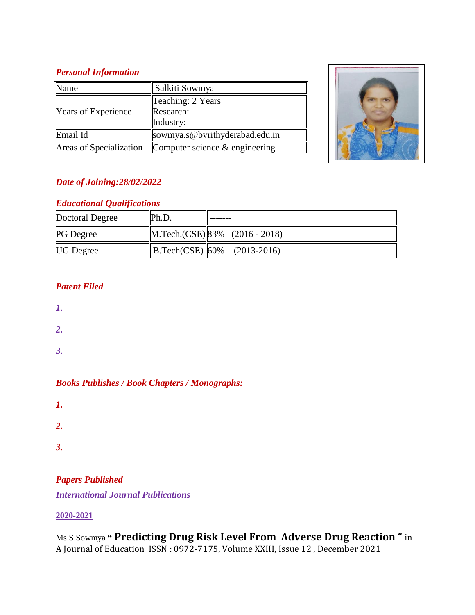## *Personal Information*

| Name                       | Salkiti Sowmya                              |  |
|----------------------------|---------------------------------------------|--|
| <b>Years of Experience</b> | Teaching: 2 Years<br>Research:<br>Industry: |  |
| Email Id                   | sowmya.s@bvrithyderabad.edu.in              |  |
| Areas of Specialization    | Computer science $&$ engineering            |  |



## *Date of Joining:28/02/2022*

## *Educational Qualifications*

| Doctoral Degree  | Ph.D. |                                    |
|------------------|-------|------------------------------------|
| <b>PG</b> Degree |       | $ M.Tech.(CSE) 83\%$ (2016 - 2018) |
| <b>UG Degree</b> |       | $\ B.Tech(CSE)\ 60\%$ (2013-2016)  |

# *Patent Filed*

- *1.*
- 
- *2.*
- *3.*

*Books Publishes / Book Chapters / Monographs:* 

- *1.*
- 
- *2.*
- *3.*

# *Papers Published*

*International Journal Publications*

## **2020-2021**

Ms.S.Sowmya **" Predicting Drug Risk Level From Adverse Drug Reaction "** in A Journal of Education ISSN : 0972-7175, Volume XXIII, Issue 12 , December 2021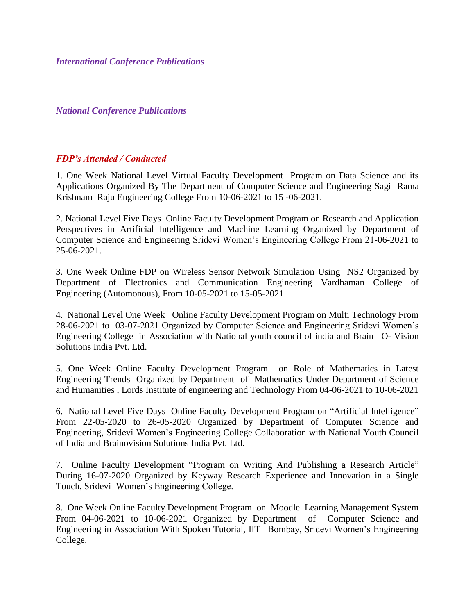*International Conference Publications*

*National Conference Publications*

#### *FDP's Attended / Conducted*

1. One Week National Level Virtual Faculty Development Program on Data Science and its Applications Organized By The Department of Computer Science and Engineering Sagi Rama Krishnam Raju Engineering College From 10-06-2021 to 15 -06-2021.

2. National Level Five Days Online Faculty Development Program on Research and Application Perspectives in Artificial Intelligence and Machine Learning Organized by Department of Computer Science and Engineering Sridevi Women's Engineering College From 21-06-2021 to 25-06-2021.

3. One Week Online FDP on Wireless Sensor Network Simulation Using NS2 Organized by Department of Electronics and Communication Engineering Vardhaman College of Engineering (Automonous), From 10-05-2021 to 15-05-2021

4. National Level One Week Online Faculty Development Program on Multi Technology From 28-06-2021 to 03-07-2021 Organized by Computer Science and Engineering Sridevi Women's Engineering College in Association with National youth council of india and Brain –O- Vision Solutions India Pvt. Ltd.

5. One Week Online Faculty Development Program on Role of Mathematics in Latest Engineering Trends Organized by Department of Mathematics Under Department of Science and Humanities , Lords Institute of engineering and Technology From 04-06-2021 to 10-06-2021

6. National Level Five Days Online Faculty Development Program on "Artificial Intelligence" From 22-05-2020 to 26-05-2020 Organized by Department of Computer Science and Engineering, Sridevi Women's Engineering College Collaboration with National Youth Council of India and Brainovision Solutions India Pvt. Ltd.

7. Online Faculty Development "Program on Writing And Publishing a Research Article" During 16-07-2020 Organized by Keyway Research Experience and Innovation in a Single Touch, Sridevi Women's Engineering College.

8. One Week Online Faculty Development Program on Moodle Learning Management System From 04-06-2021 to 10-06-2021 Organized by Department of Computer Science and Engineering in Association With Spoken Tutorial, IIT –Bombay, Sridevi Women's Engineering College.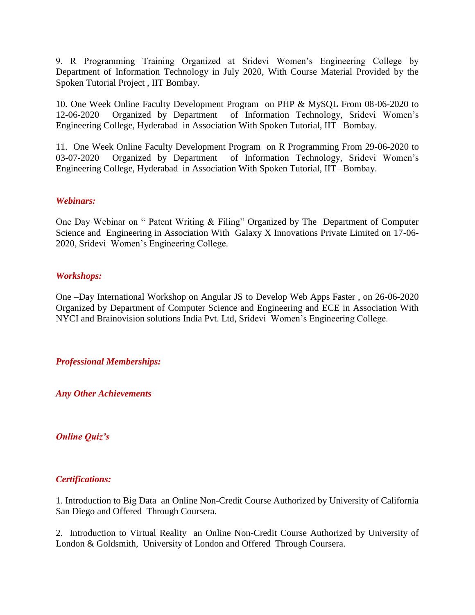9. R Programming Training Organized at Sridevi Women's Engineering College by Department of Information Technology in July 2020, With Course Material Provided by the Spoken Tutorial Project , IIT Bombay.

10. One Week Online Faculty Development Program on PHP & MySQL From 08-06-2020 to 12-06-2020 Organized by Department of Information Technology, Sridevi Women's Engineering College, Hyderabad in Association With Spoken Tutorial, IIT –Bombay.

11. One Week Online Faculty Development Program on R Programming From 29-06-2020 to 03-07-2020 Organized by Department of Information Technology, Sridevi Women's Engineering College, Hyderabad in Association With Spoken Tutorial, IIT –Bombay.

#### *Webinars:*

One Day Webinar on " Patent Writing & Filing" Organized by The Department of Computer Science and Engineering in Association With Galaxy X Innovations Private Limited on 17-06- 2020, Sridevi Women's Engineering College.

#### *Workshops:*

One –Day International Workshop on Angular JS to Develop Web Apps Faster , on 26-06-2020 Organized by Department of Computer Science and Engineering and ECE in Association With NYCI and Brainovision solutions India Pvt. Ltd, Sridevi Women's Engineering College.

#### *Professional Memberships:*

*Any Other Achievements*

#### *Online Quiz's*

#### *Certifications:*

1. Introduction to Big Data an Online Non-Credit Course Authorized by University of California San Diego and Offered Through Coursera.

2. Introduction to Virtual Reality an Online Non-Credit Course Authorized by University of London & Goldsmith, University of London and Offered Through Coursera.